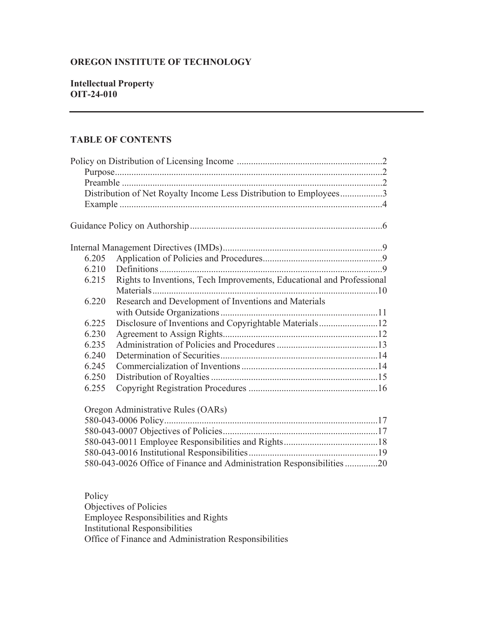# **OREGON INSTITUTE OF TECHNOLOGY**

### **Intellectual Property OIT-24-010**

### **TABLE OF CONTENTS**

|       | Distribution of Net Royalty Income Less Distribution to Employees3    |  |
|-------|-----------------------------------------------------------------------|--|
|       |                                                                       |  |
|       |                                                                       |  |
|       |                                                                       |  |
| 6.205 |                                                                       |  |
| 6.210 |                                                                       |  |
| 6.215 | Rights to Inventions, Tech Improvements, Educational and Professional |  |
|       |                                                                       |  |
| 6.220 | Research and Development of Inventions and Materials                  |  |
|       |                                                                       |  |
| 6.225 |                                                                       |  |
| 6.230 |                                                                       |  |
| 6.235 |                                                                       |  |
| 6.240 |                                                                       |  |
| 6.245 |                                                                       |  |
| 6.250 |                                                                       |  |
| 6.255 |                                                                       |  |
|       | Oregon Administrative Rules (OARs)                                    |  |
|       |                                                                       |  |
|       |                                                                       |  |

| 580-043-0026 Office of Finance and Administration Responsibilities 20 |  |
|-----------------------------------------------------------------------|--|

Policy Objectives of Policies Employee Responsibilities and Rights Institutional Responsibilities Office of Finance and Administration Responsibilities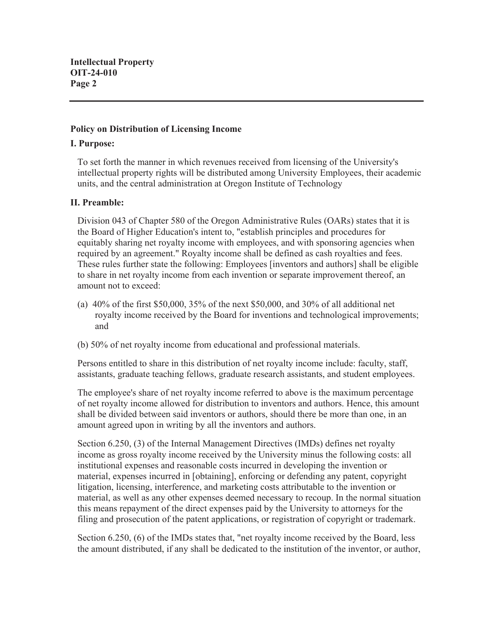### **Policy on Distribution of Licensing Income**

### **I. Purpose:**

To set forth the manner in which revenues received from licensing of the University's intellectual property rights will be distributed among University Employees, their academic units, and the central administration at Oregon Institute of Technology

### **II. Preamble:**

Division 043 of Chapter 580 of the Oregon Administrative Rules (OARs) states that it is the Board of Higher Education's intent to, "establish principles and procedures for equitably sharing net royalty income with employees, and with sponsoring agencies when required by an agreement." Royalty income shall be defined as cash royalties and fees. These rules further state the following: Employees [inventors and authors] shall be eligible to share in net royalty income from each invention or separate improvement thereof, an amount not to exceed:

- (a) 40% of the first \$50,000, 35% of the next \$50,000, and 30% of all additional net royalty income received by the Board for inventions and technological improvements; and
- (b) 50% of net royalty income from educational and professional materials.

Persons entitled to share in this distribution of net royalty income include: faculty, staff, assistants, graduate teaching fellows, graduate research assistants, and student employees.

The employee's share of net royalty income referred to above is the maximum percentage of net royalty income allowed for distribution to inventors and authors. Hence, this amount shall be divided between said inventors or authors, should there be more than one, in an amount agreed upon in writing by all the inventors and authors.

Section 6.250, (3) of the Internal Management Directives (IMDs) defines net royalty income as gross royalty income received by the University minus the following costs: all institutional expenses and reasonable costs incurred in developing the invention or material, expenses incurred in [obtaining], enforcing or defending any patent, copyright litigation, licensing, interference, and marketing costs attributable to the invention or material, as well as any other expenses deemed necessary to recoup. In the normal situation this means repayment of the direct expenses paid by the University to attorneys for the filing and prosecution of the patent applications, or registration of copyright or trademark.

Section 6.250, (6) of the IMDs states that, "net royalty income received by the Board, less the amount distributed, if any shall be dedicated to the institution of the inventor, or author,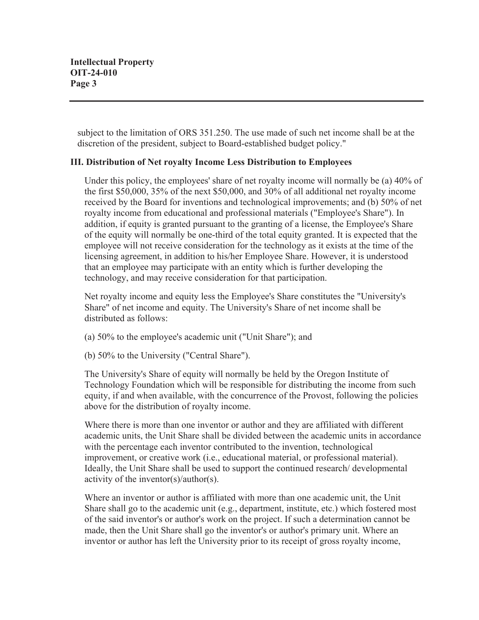subject to the limitation of ORS 351.250. The use made of such net income shall be at the discretion of the president, subject to Board-established budget policy."

## **III. Distribution of Net royalty Income Less Distribution to Employees**

Under this policy, the employees' share of net royalty income will normally be (a) 40% of the first \$50,000, 35% of the next \$50,000, and 30% of all additional net royalty income received by the Board for inventions and technological improvements; and (b) 50% of net royalty income from educational and professional materials ("Employee's Share"). In addition, if equity is granted pursuant to the granting of a license, the Employee's Share of the equity will normally be one-third of the total equity granted. It is expected that the employee will not receive consideration for the technology as it exists at the time of the licensing agreement, in addition to his/her Employee Share. However, it is understood that an employee may participate with an entity which is further developing the technology, and may receive consideration for that participation.

Net royalty income and equity less the Employee's Share constitutes the "University's Share" of net income and equity. The University's Share of net income shall be distributed as follows:

- (a) 50% to the employee's academic unit ("Unit Share"); and
- (b) 50% to the University ("Central Share").

The University's Share of equity will normally be held by the Oregon Institute of Technology Foundation which will be responsible for distributing the income from such equity, if and when available, with the concurrence of the Provost, following the policies above for the distribution of royalty income.

Where there is more than one inventor or author and they are affiliated with different academic units, the Unit Share shall be divided between the academic units in accordance with the percentage each inventor contributed to the invention, technological improvement, or creative work (i.e., educational material, or professional material). Ideally, the Unit Share shall be used to support the continued research/ developmental activity of the inventor(s)/author(s).

Where an inventor or author is affiliated with more than one academic unit, the Unit Share shall go to the academic unit (e.g., department, institute, etc.) which fostered most of the said inventor's or author's work on the project. If such a determination cannot be made, then the Unit Share shall go the inventor's or author's primary unit. Where an inventor or author has left the University prior to its receipt of gross royalty income,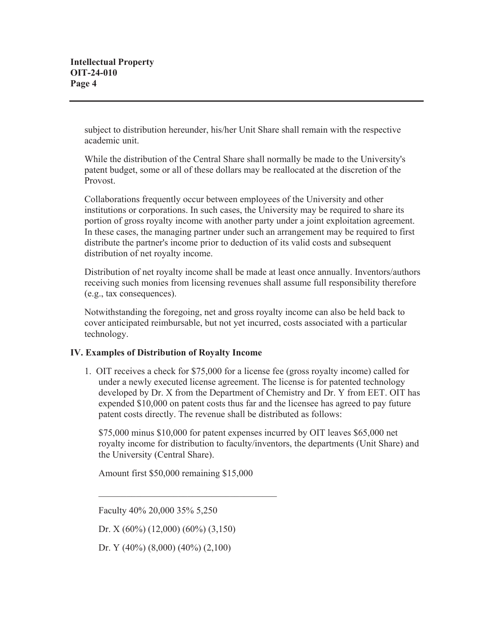subject to distribution hereunder, his/her Unit Share shall remain with the respective academic unit.

While the distribution of the Central Share shall normally be made to the University's patent budget, some or all of these dollars may be reallocated at the discretion of the Provost.

Collaborations frequently occur between employees of the University and other institutions or corporations. In such cases, the University may be required to share its portion of gross royalty income with another party under a joint exploitation agreement. In these cases, the managing partner under such an arrangement may be required to first distribute the partner's income prior to deduction of its valid costs and subsequent distribution of net royalty income.

Distribution of net royalty income shall be made at least once annually. Inventors/authors receiving such monies from licensing revenues shall assume full responsibility therefore (e.g., tax consequences).

Notwithstanding the foregoing, net and gross royalty income can also be held back to cover anticipated reimbursable, but not yet incurred, costs associated with a particular technology.

## **IV. Examples of Distribution of Royalty Income**

1. OIT receives a check for \$75,000 for a license fee (gross royalty income) called for under a newly executed license agreement. The license is for patented technology developed by Dr. X from the Department of Chemistry and Dr. Y from EET. OIT has expended \$10,000 on patent costs thus far and the licensee has agreed to pay future patent costs directly. The revenue shall be distributed as follows:

\$75,000 minus \$10,000 for patent expenses incurred by OIT leaves \$65,000 net royalty income for distribution to faculty/inventors, the departments (Unit Share) and the University (Central Share).

Amount first \$50,000 remaining \$15,000

Faculty 40% 20,000 35% 5,250

Dr. X (60%) (12,000) (60%) (3,150)

Dr. Y (40%) (8,000) (40%) (2,100)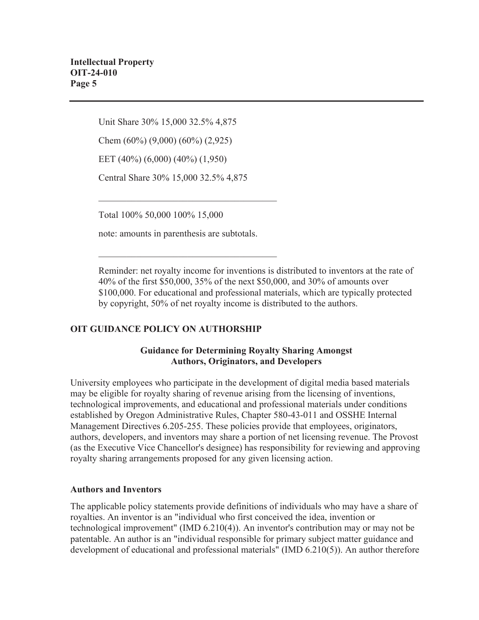Unit Share 30% 15,000 32.5% 4,875

Chem (60%) (9,000) (60%) (2,925)

EET (40%) (6,000) (40%) (1,950)

Central Share 30% 15,000 32.5% 4,875

Total 100% 50,000 100% 15,000

note: amounts in parenthesis are subtotals.

Reminder: net royalty income for inventions is distributed to inventors at the rate of 40% of the first \$50,000, 35% of the next \$50,000, and 30% of amounts over \$100,000. For educational and professional materials, which are typically protected by copyright, 50% of net royalty income is distributed to the authors.

## **OIT GUIDANCE POLICY ON AUTHORSHIP**

## **Guidance for Determining Royalty Sharing Amongst Authors, Originators, and Developers**

University employees who participate in the development of digital media based materials may be eligible for royalty sharing of revenue arising from the licensing of inventions, technological improvements, and educational and professional materials under conditions established by Oregon Administrative Rules, Chapter 580-43-011 and OSSHE Internal Management Directives 6.205-255. These policies provide that employees, originators, authors, developers, and inventors may share a portion of net licensing revenue. The Provost (as the Executive Vice Chancellor's designee) has responsibility for reviewing and approving royalty sharing arrangements proposed for any given licensing action.

### **Authors and Inventors**

The applicable policy statements provide definitions of individuals who may have a share of royalties. An inventor is an "individual who first conceived the idea, invention or technological improvement" (IMD 6.210(4)). An inventor's contribution may or may not be patentable. An author is an "individual responsible for primary subject matter guidance and development of educational and professional materials" (IMD 6.210(5)). An author therefore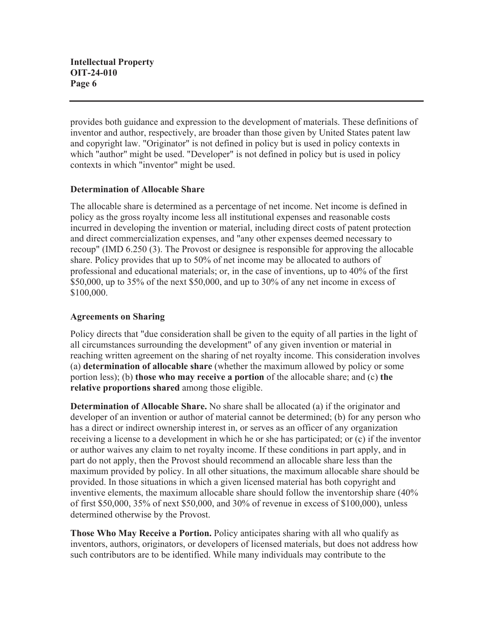provides both guidance and expression to the development of materials. These definitions of inventor and author, respectively, are broader than those given by United States patent law and copyright law. "Originator" is not defined in policy but is used in policy contexts in which "author" might be used. "Developer" is not defined in policy but is used in policy contexts in which "inventor" might be used.

## **Determination of Allocable Share**

The allocable share is determined as a percentage of net income. Net income is defined in policy as the gross royalty income less all institutional expenses and reasonable costs incurred in developing the invention or material, including direct costs of patent protection and direct commercialization expenses, and "any other expenses deemed necessary to recoup" (IMD 6.250 (3). The Provost or designee is responsible for approving the allocable share. Policy provides that up to 50% of net income may be allocated to authors of professional and educational materials; or, in the case of inventions, up to 40% of the first \$50,000, up to 35% of the next \$50,000, and up to 30% of any net income in excess of \$100,000.

## **Agreements on Sharing**

Policy directs that "due consideration shall be given to the equity of all parties in the light of all circumstances surrounding the development" of any given invention or material in reaching written agreement on the sharing of net royalty income. This consideration involves (a) **determination of allocable share** (whether the maximum allowed by policy or some portion less); (b) **those who may receive a portion** of the allocable share; and (c) **the relative proportions shared** among those eligible.

**Determination of Allocable Share.** No share shall be allocated (a) if the originator and developer of an invention or author of material cannot be determined; (b) for any person who has a direct or indirect ownership interest in, or serves as an officer of any organization receiving a license to a development in which he or she has participated; or (c) if the inventor or author waives any claim to net royalty income. If these conditions in part apply, and in part do not apply, then the Provost should recommend an allocable share less than the maximum provided by policy. In all other situations, the maximum allocable share should be provided. In those situations in which a given licensed material has both copyright and inventive elements, the maximum allocable share should follow the inventorship share (40% of first \$50,000, 35% of next \$50,000, and 30% of revenue in excess of \$100,000), unless determined otherwise by the Provost.

**Those Who May Receive a Portion.** Policy anticipates sharing with all who qualify as inventors, authors, originators, or developers of licensed materials, but does not address how such contributors are to be identified. While many individuals may contribute to the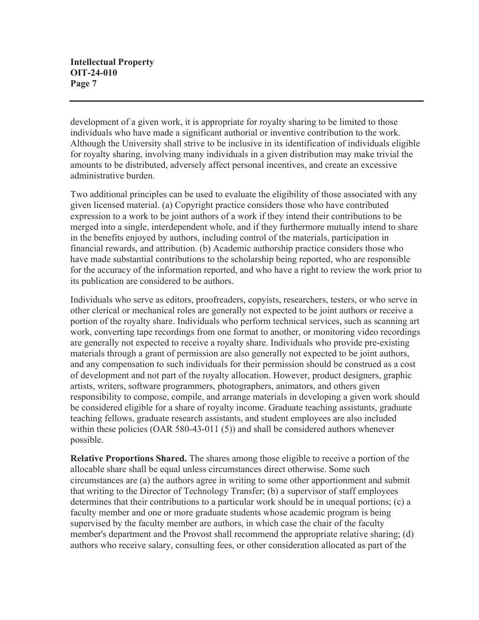development of a given work, it is appropriate for royalty sharing to be limited to those individuals who have made a significant authorial or inventive contribution to the work. Although the University shall strive to be inclusive in its identification of individuals eligible for royalty sharing, involving many individuals in a given distribution may make trivial the amounts to be distributed, adversely affect personal incentives, and create an excessive administrative burden.

Two additional principles can be used to evaluate the eligibility of those associated with any given licensed material. (a) Copyright practice considers those who have contributed expression to a work to be joint authors of a work if they intend their contributions to be merged into a single, interdependent whole, and if they furthermore mutually intend to share in the benefits enjoyed by authors, including control of the materials, participation in financial rewards, and attribution. (b) Academic authorship practice considers those who have made substantial contributions to the scholarship being reported, who are responsible for the accuracy of the information reported, and who have a right to review the work prior to its publication are considered to be authors.

Individuals who serve as editors, proofreaders, copyists, researchers, testers, or who serve in other clerical or mechanical roles are generally not expected to be joint authors or receive a portion of the royalty share. Individuals who perform technical services, such as scanning art work, converting tape recordings from one format to another, or monitoring video recordings are generally not expected to receive a royalty share. Individuals who provide pre-existing materials through a grant of permission are also generally not expected to be joint authors, and any compensation to such individuals for their permission should be construed as a cost of development and not part of the royalty allocation. However, product designers, graphic artists, writers, software programmers, photographers, animators, and others given responsibility to compose, compile, and arrange materials in developing a given work should be considered eligible for a share of royalty income. Graduate teaching assistants, graduate teaching fellows, graduate research assistants, and student employees are also included within these policies (OAR 580-43-011 (5)) and shall be considered authors whenever possible.

**Relative Proportions Shared.** The shares among those eligible to receive a portion of the allocable share shall be equal unless circumstances direct otherwise. Some such circumstances are (a) the authors agree in writing to some other apportionment and submit that writing to the Director of Technology Transfer; (b) a supervisor of staff employees determines that their contributions to a particular work should be in unequal portions; (c) a faculty member and one or more graduate students whose academic program is being supervised by the faculty member are authors, in which case the chair of the faculty member's department and the Provost shall recommend the appropriate relative sharing; (d) authors who receive salary, consulting fees, or other consideration allocated as part of the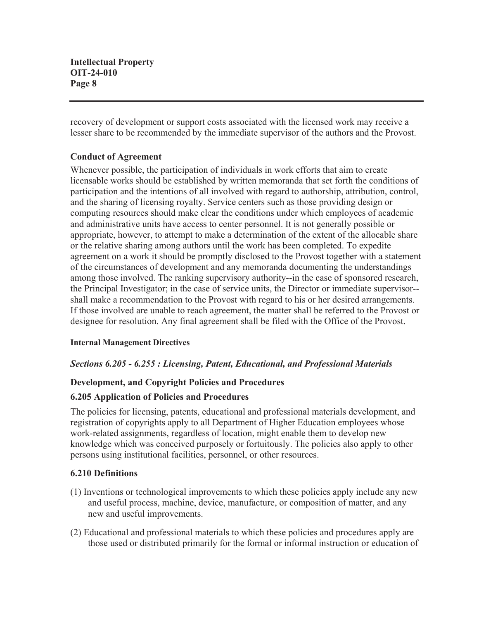recovery of development or support costs associated with the licensed work may receive a lesser share to be recommended by the immediate supervisor of the authors and the Provost.

## **Conduct of Agreement**

Whenever possible, the participation of individuals in work efforts that aim to create licensable works should be established by written memoranda that set forth the conditions of participation and the intentions of all involved with regard to authorship, attribution, control, and the sharing of licensing royalty. Service centers such as those providing design or computing resources should make clear the conditions under which employees of academic and administrative units have access to center personnel. It is not generally possible or appropriate, however, to attempt to make a determination of the extent of the allocable share or the relative sharing among authors until the work has been completed. To expedite agreement on a work it should be promptly disclosed to the Provost together with a statement of the circumstances of development and any memoranda documenting the understandings among those involved. The ranking supervisory authority--in the case of sponsored research, the Principal Investigator; in the case of service units, the Director or immediate supervisor- shall make a recommendation to the Provost with regard to his or her desired arrangements. If those involved are unable to reach agreement, the matter shall be referred to the Provost or designee for resolution. Any final agreement shall be filed with the Office of the Provost.

## **Internal Management Directives**

## *Sections 6.205 - 6.255 : Licensing, Patent, Educational, and Professional Materials*

## **Development, and Copyright Policies and Procedures**

### **6.205 Application of Policies and Procedures**

The policies for licensing, patents, educational and professional materials development, and registration of copyrights apply to all Department of Higher Education employees whose work-related assignments, regardless of location, might enable them to develop new knowledge which was conceived purposely or fortuitously. The policies also apply to other persons using institutional facilities, personnel, or other resources.

### **6.210 Definitions**

- (1) Inventions or technological improvements to which these policies apply include any new and useful process, machine, device, manufacture, or composition of matter, and any new and useful improvements.
- (2) Educational and professional materials to which these policies and procedures apply are those used or distributed primarily for the formal or informal instruction or education of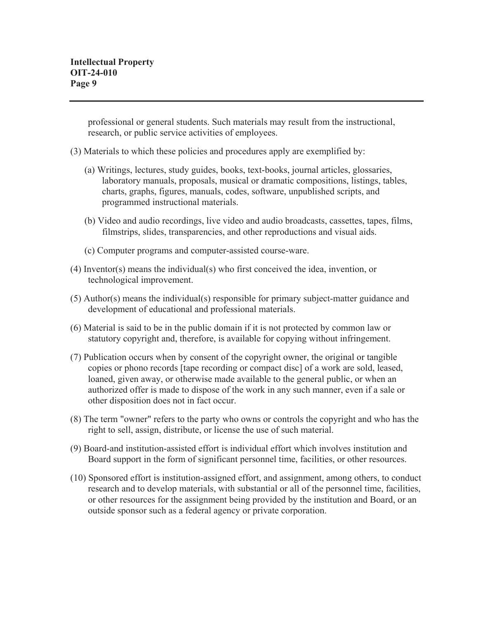professional or general students. Such materials may result from the instructional, research, or public service activities of employees.

- (3) Materials to which these policies and procedures apply are exemplified by:
	- (a) Writings, lectures, study guides, books, text-books, journal articles, glossaries, laboratory manuals, proposals, musical or dramatic compositions, listings, tables, charts, graphs, figures, manuals, codes, software, unpublished scripts, and programmed instructional materials.
	- (b) Video and audio recordings, live video and audio broadcasts, cassettes, tapes, films, filmstrips, slides, transparencies, and other reproductions and visual aids.
	- (c) Computer programs and computer-assisted course-ware.
- (4) Inventor(s) means the individual(s) who first conceived the idea, invention, or technological improvement.
- (5) Author(s) means the individual(s) responsible for primary subject-matter guidance and development of educational and professional materials.
- (6) Material is said to be in the public domain if it is not protected by common law or statutory copyright and, therefore, is available for copying without infringement.
- (7) Publication occurs when by consent of the copyright owner, the original or tangible copies or phono records [tape recording or compact disc] of a work are sold, leased, loaned, given away, or otherwise made available to the general public, or when an authorized offer is made to dispose of the work in any such manner, even if a sale or other disposition does not in fact occur.
- (8) The term "owner" refers to the party who owns or controls the copyright and who has the right to sell, assign, distribute, or license the use of such material.
- (9) Board-and institution-assisted effort is individual effort which involves institution and Board support in the form of significant personnel time, facilities, or other resources.
- (10) Sponsored effort is institution-assigned effort, and assignment, among others, to conduct research and to develop materials, with substantial or all of the personnel time, facilities, or other resources for the assignment being provided by the institution and Board, or an outside sponsor such as a federal agency or private corporation.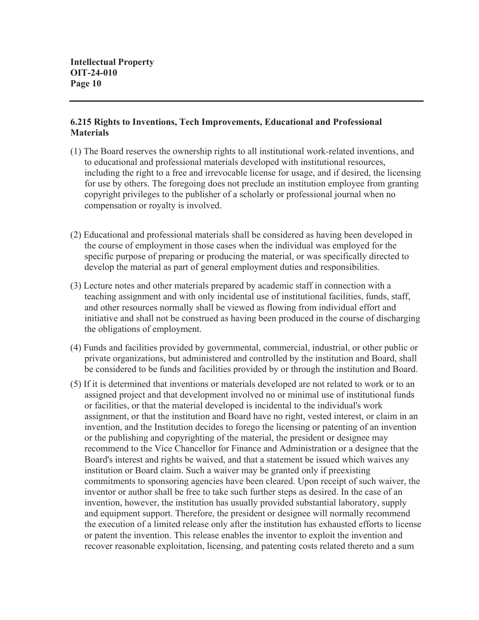### **6.215 Rights to Inventions, Tech Improvements, Educational and Professional Materials**

- (1) The Board reserves the ownership rights to all institutional work-related inventions, and to educational and professional materials developed with institutional resources, including the right to a free and irrevocable license for usage, and if desired, the licensing for use by others. The foregoing does not preclude an institution employee from granting copyright privileges to the publisher of a scholarly or professional journal when no compensation or royalty is involved.
- (2) Educational and professional materials shall be considered as having been developed in the course of employment in those cases when the individual was employed for the specific purpose of preparing or producing the material, or was specifically directed to develop the material as part of general employment duties and responsibilities.
- (3) Lecture notes and other materials prepared by academic staff in connection with a teaching assignment and with only incidental use of institutional facilities, funds, staff, and other resources normally shall be viewed as flowing from individual effort and initiative and shall not be construed as having been produced in the course of discharging the obligations of employment.
- (4) Funds and facilities provided by governmental, commercial, industrial, or other public or private organizations, but administered and controlled by the institution and Board, shall be considered to be funds and facilities provided by or through the institution and Board.
- (5) If it is determined that inventions or materials developed are not related to work or to an assigned project and that development involved no or minimal use of institutional funds or facilities, or that the material developed is incidental to the individual's work assignment, or that the institution and Board have no right, vested interest, or claim in an invention, and the Institution decides to forego the licensing or patenting of an invention or the publishing and copyrighting of the material, the president or designee may recommend to the Vice Chancellor for Finance and Administration or a designee that the Board's interest and rights be waived, and that a statement be issued which waives any institution or Board claim. Such a waiver may be granted only if preexisting commitments to sponsoring agencies have been cleared. Upon receipt of such waiver, the inventor or author shall be free to take such further steps as desired. In the case of an invention, however, the institution has usually provided substantial laboratory, supply and equipment support. Therefore, the president or designee will normally recommend the execution of a limited release only after the institution has exhausted efforts to license or patent the invention. This release enables the inventor to exploit the invention and recover reasonable exploitation, licensing, and patenting costs related thereto and a sum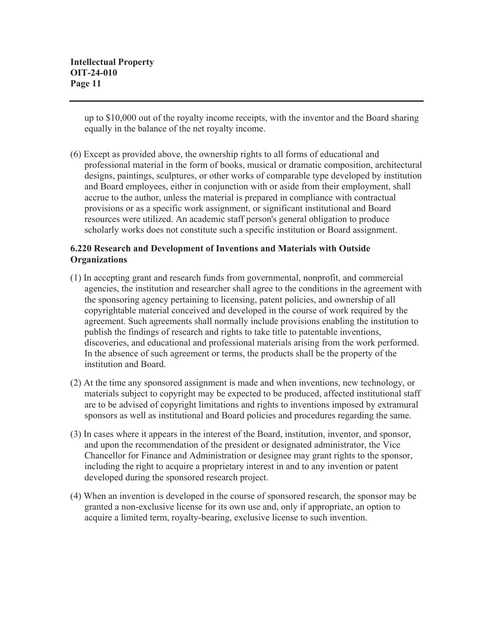up to \$10,000 out of the royalty income receipts, with the inventor and the Board sharing equally in the balance of the net royalty income.

(6) Except as provided above, the ownership rights to all forms of educational and professional material in the form of books, musical or dramatic composition, architectural designs, paintings, sculptures, or other works of comparable type developed by institution and Board employees, either in conjunction with or aside from their employment, shall accrue to the author, unless the material is prepared in compliance with contractual provisions or as a specific work assignment, or significant institutional and Board resources were utilized. An academic staff person's general obligation to produce scholarly works does not constitute such a specific institution or Board assignment.

### **6.220 Research and Development of Inventions and Materials with Outside Organizations**

- (1) In accepting grant and research funds from governmental, nonprofit, and commercial agencies, the institution and researcher shall agree to the conditions in the agreement with the sponsoring agency pertaining to licensing, patent policies, and ownership of all copyrightable material conceived and developed in the course of work required by the agreement. Such agreements shall normally include provisions enabling the institution to publish the findings of research and rights to take title to patentable inventions, discoveries, and educational and professional materials arising from the work performed. In the absence of such agreement or terms, the products shall be the property of the institution and Board.
- (2) At the time any sponsored assignment is made and when inventions, new technology, or materials subject to copyright may be expected to be produced, affected institutional staff are to be advised of copyright limitations and rights to inventions imposed by extramural sponsors as well as institutional and Board policies and procedures regarding the same.
- (3) In cases where it appears in the interest of the Board, institution, inventor, and sponsor, and upon the recommendation of the president or designated administrator, the Vice Chancellor for Finance and Administration or designee may grant rights to the sponsor, including the right to acquire a proprietary interest in and to any invention or patent developed during the sponsored research project.
- (4) When an invention is developed in the course of sponsored research, the sponsor may be granted a non-exclusive license for its own use and, only if appropriate, an option to acquire a limited term, royalty-bearing, exclusive license to such invention.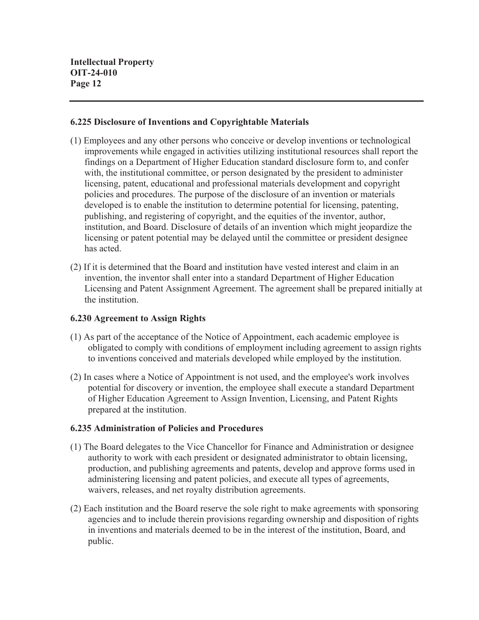### **6.225 Disclosure of Inventions and Copyrightable Materials**

- (1) Employees and any other persons who conceive or develop inventions or technological improvements while engaged in activities utilizing institutional resources shall report the findings on a Department of Higher Education standard disclosure form to, and confer with, the institutional committee, or person designated by the president to administer licensing, patent, educational and professional materials development and copyright policies and procedures. The purpose of the disclosure of an invention or materials developed is to enable the institution to determine potential for licensing, patenting, publishing, and registering of copyright, and the equities of the inventor, author, institution, and Board. Disclosure of details of an invention which might jeopardize the licensing or patent potential may be delayed until the committee or president designee has acted.
- (2) If it is determined that the Board and institution have vested interest and claim in an invention, the inventor shall enter into a standard Department of Higher Education Licensing and Patent Assignment Agreement. The agreement shall be prepared initially at the institution.

### **6.230 Agreement to Assign Rights**

- (1) As part of the acceptance of the Notice of Appointment, each academic employee is obligated to comply with conditions of employment including agreement to assign rights to inventions conceived and materials developed while employed by the institution.
- (2) In cases where a Notice of Appointment is not used, and the employee's work involves potential for discovery or invention, the employee shall execute a standard Department of Higher Education Agreement to Assign Invention, Licensing, and Patent Rights prepared at the institution.

### **6.235 Administration of Policies and Procedures**

- (1) The Board delegates to the Vice Chancellor for Finance and Administration or designee authority to work with each president or designated administrator to obtain licensing, production, and publishing agreements and patents, develop and approve forms used in administering licensing and patent policies, and execute all types of agreements, waivers, releases, and net royalty distribution agreements.
- (2) Each institution and the Board reserve the sole right to make agreements with sponsoring agencies and to include therein provisions regarding ownership and disposition of rights in inventions and materials deemed to be in the interest of the institution, Board, and public.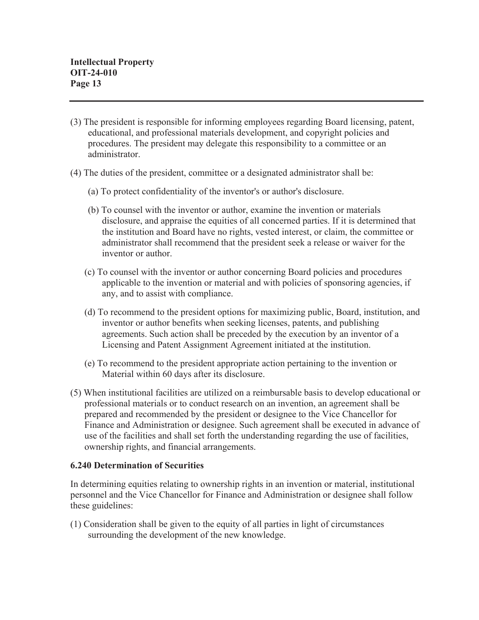- (3) The president is responsible for informing employees regarding Board licensing, patent, educational, and professional materials development, and copyright policies and procedures. The president may delegate this responsibility to a committee or an administrator.
- (4) The duties of the president, committee or a designated administrator shall be:
	- (a) To protect confidentiality of the inventor's or author's disclosure.
	- (b) To counsel with the inventor or author, examine the invention or materials disclosure, and appraise the equities of all concerned parties. If it is determined that the institution and Board have no rights, vested interest, or claim, the committee or administrator shall recommend that the president seek a release or waiver for the inventor or author.
	- (c) To counsel with the inventor or author concerning Board policies and procedures applicable to the invention or material and with policies of sponsoring agencies, if any, and to assist with compliance.
	- (d) To recommend to the president options for maximizing public, Board, institution, and inventor or author benefits when seeking licenses, patents, and publishing agreements. Such action shall be preceded by the execution by an inventor of a Licensing and Patent Assignment Agreement initiated at the institution.
	- (e) To recommend to the president appropriate action pertaining to the invention or Material within 60 days after its disclosure.
- (5) When institutional facilities are utilized on a reimbursable basis to develop educational or professional materials or to conduct research on an invention, an agreement shall be prepared and recommended by the president or designee to the Vice Chancellor for Finance and Administration or designee. Such agreement shall be executed in advance of use of the facilities and shall set forth the understanding regarding the use of facilities, ownership rights, and financial arrangements.

### **6.240 Determination of Securities**

In determining equities relating to ownership rights in an invention or material, institutional personnel and the Vice Chancellor for Finance and Administration or designee shall follow these guidelines:

(1) Consideration shall be given to the equity of all parties in light of circumstances surrounding the development of the new knowledge.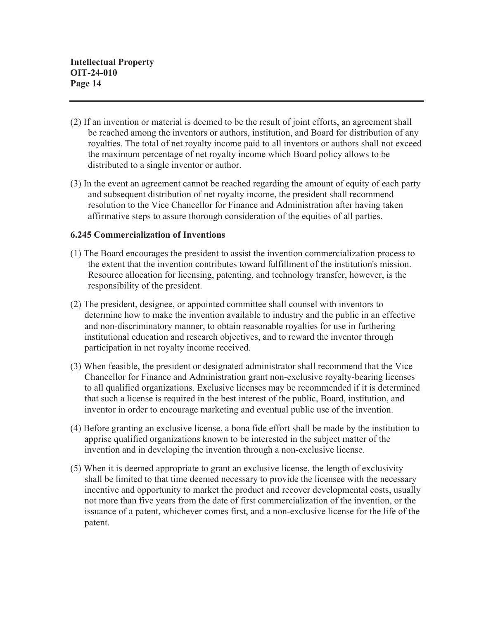- (2) If an invention or material is deemed to be the result of joint efforts, an agreement shall be reached among the inventors or authors, institution, and Board for distribution of any royalties. The total of net royalty income paid to all inventors or authors shall not exceed the maximum percentage of net royalty income which Board policy allows to be distributed to a single inventor or author.
- (3) In the event an agreement cannot be reached regarding the amount of equity of each party and subsequent distribution of net royalty income, the president shall recommend resolution to the Vice Chancellor for Finance and Administration after having taken affirmative steps to assure thorough consideration of the equities of all parties.

### **6.245 Commercialization of Inventions**

- (1) The Board encourages the president to assist the invention commercialization process to the extent that the invention contributes toward fulfillment of the institution's mission. Resource allocation for licensing, patenting, and technology transfer, however, is the responsibility of the president.
- (2) The president, designee, or appointed committee shall counsel with inventors to determine how to make the invention available to industry and the public in an effective and non-discriminatory manner, to obtain reasonable royalties for use in furthering institutional education and research objectives, and to reward the inventor through participation in net royalty income received.
- (3) When feasible, the president or designated administrator shall recommend that the Vice Chancellor for Finance and Administration grant non-exclusive royalty-bearing licenses to all qualified organizations. Exclusive licenses may be recommended if it is determined that such a license is required in the best interest of the public, Board, institution, and inventor in order to encourage marketing and eventual public use of the invention.
- (4) Before granting an exclusive license, a bona fide effort shall be made by the institution to apprise qualified organizations known to be interested in the subject matter of the invention and in developing the invention through a non-exclusive license.
- (5) When it is deemed appropriate to grant an exclusive license, the length of exclusivity shall be limited to that time deemed necessary to provide the licensee with the necessary incentive and opportunity to market the product and recover developmental costs, usually not more than five years from the date of first commercialization of the invention, or the issuance of a patent, whichever comes first, and a non-exclusive license for the life of the patent.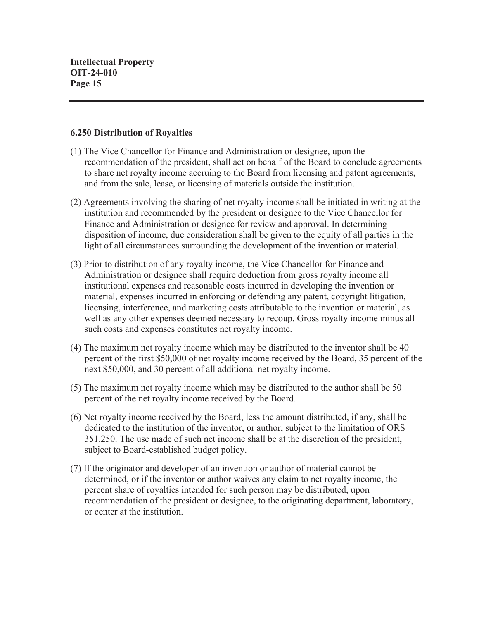#### **6.250 Distribution of Royalties**

- (1) The Vice Chancellor for Finance and Administration or designee, upon the recommendation of the president, shall act on behalf of the Board to conclude agreements to share net royalty income accruing to the Board from licensing and patent agreements, and from the sale, lease, or licensing of materials outside the institution.
- (2) Agreements involving the sharing of net royalty income shall be initiated in writing at the institution and recommended by the president or designee to the Vice Chancellor for Finance and Administration or designee for review and approval. In determining disposition of income, due consideration shall be given to the equity of all parties in the light of all circumstances surrounding the development of the invention or material.
- (3) Prior to distribution of any royalty income, the Vice Chancellor for Finance and Administration or designee shall require deduction from gross royalty income all institutional expenses and reasonable costs incurred in developing the invention or material, expenses incurred in enforcing or defending any patent, copyright litigation, licensing, interference, and marketing costs attributable to the invention or material, as well as any other expenses deemed necessary to recoup. Gross royalty income minus all such costs and expenses constitutes net royalty income.
- (4) The maximum net royalty income which may be distributed to the inventor shall be 40 percent of the first \$50,000 of net royalty income received by the Board, 35 percent of the next \$50,000, and 30 percent of all additional net royalty income.
- (5) The maximum net royalty income which may be distributed to the author shall be 50 percent of the net royalty income received by the Board.
- (6) Net royalty income received by the Board, less the amount distributed, if any, shall be dedicated to the institution of the inventor, or author, subject to the limitation of ORS 351.250. The use made of such net income shall be at the discretion of the president, subject to Board-established budget policy.
- (7) If the originator and developer of an invention or author of material cannot be determined, or if the inventor or author waives any claim to net royalty income, the percent share of royalties intended for such person may be distributed, upon recommendation of the president or designee, to the originating department, laboratory, or center at the institution.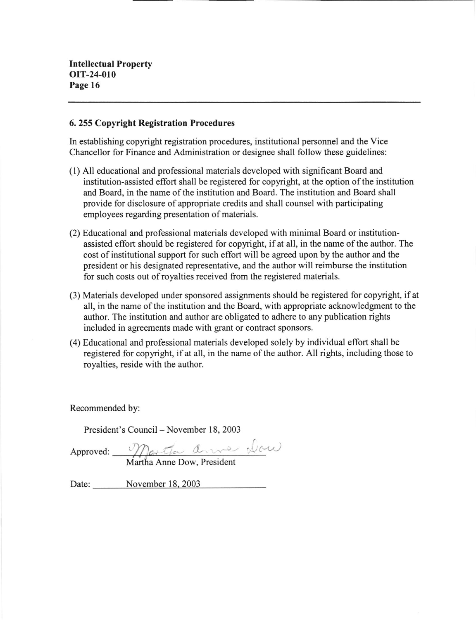#### 6. 255 Copyright Registration Procedures

In establishing copyright registration procedures, institutional personnel and the Vice Chancellor for Finance and Administration or designee shall follow these guidelines:

- (l) All educational and professional materials developed with sigrificant Board and institution-assisted eflort shall be registered for copyright, at the option of the institution and Board, in the name of the institution and Board. The institution and Board shall provide for disclosure of appropriate credits and shall counsel with participating employees regarding presentation of materials.
- (2) Educational and professional materials developed with minimal Board or institutionassisted effort should be registered for copyright, if at all, in the name of the author. The cost of institutional support for such effort will be agreed upon by the author and the president or his designated representative, and the author will reimburse the institution for such costs out of royalties received from the registered materials.
- (3) Materials developed under sponsored assignments should be registered for copyright, if at all, in the name of the institution and the Board, with appropriate acknowledgment to the author. The institution and author are obligated to adhere to any publication rights included in agreements made with grant or contract sponsors.
- (4) Educational and professional materials developed solely by individual effort shall be registered for copyright, if at all, in the name of the author. All rights, including those to royalties, reside with the author.

Recommended by:

President's Council – November 18, 2003

Approved: Martha Anne Dow, President

Date: November 18, 2003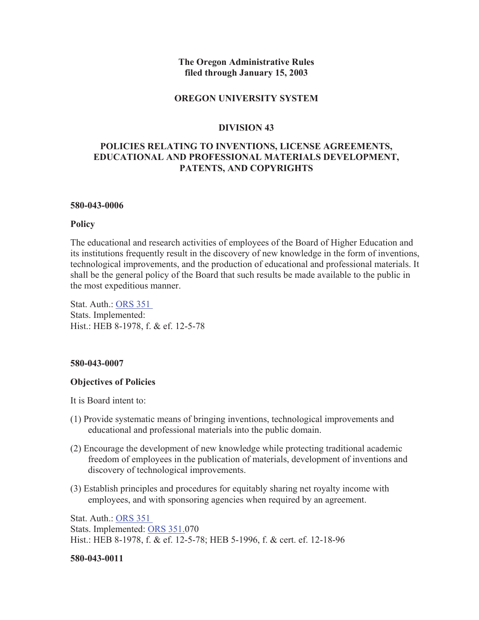### **The Oregon Administrative Rules filed through January 15, 2003**

#### **OREGON UNIVERSITY SYSTEM**

#### **DIVISION 43**

### **POLICIES RELATING TO INVENTIONS, LICENSE AGREEMENTS, EDUCATIONAL AND PROFESSIONAL MATERIALS DEVELOPMENT, PATENTS, AND COPYRIGHTS**

#### **580-043-0006**

#### **Policy**

The educational and research activities of employees of the Board of Higher Education and its institutions frequently result in the discovery of new knowledge in the form of inventions, technological improvements, and the production of educational and professional materials. It shall be the general policy of the Board that such results be made available to the public in the most expeditious manner.

Stat. Auth.: ORS 351 Stats. Implemented: Hist.: HEB 8-1978, f. & ef. 12-5-78

#### **580-043-0007**

#### **Objectives of Policies**

It is Board intent to:

- (1) Provide systematic means of bringing inventions, technological improvements and educational and professional materials into the public domain.
- (2) Encourage the development of new knowledge while protecting traditional academic freedom of employees in the publication of materials, development of inventions and discovery of technological improvements.
- (3) Establish principles and procedures for equitably sharing net royalty income with employees, and with sponsoring agencies when required by an agreement.

Stat. Auth.: ORS 351 Stats. Implemented: ORS 351.070 Hist.: HEB 8-1978, f. & ef. 12-5-78; HEB 5-1996, f. & cert. ef. 12-18-96

#### **580-043-0011**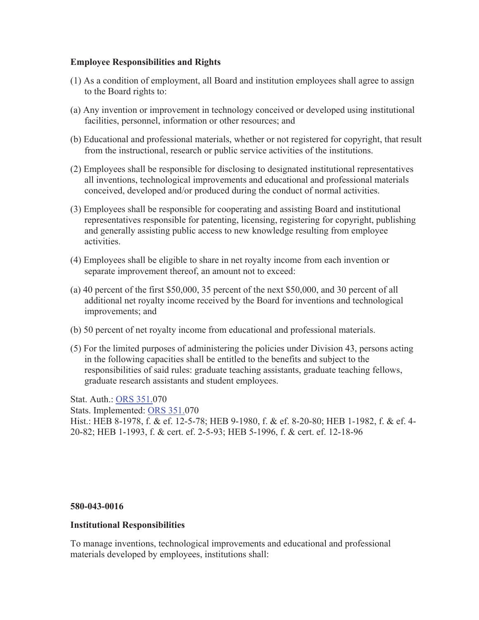### **Employee Responsibilities and Rights**

- (1) As a condition of employment, all Board and institution employees shall agree to assign to the Board rights to:
- (a) Any invention or improvement in technology conceived or developed using institutional facilities, personnel, information or other resources; and
- (b) Educational and professional materials, whether or not registered for copyright, that result from the instructional, research or public service activities of the institutions.
- (2) Employees shall be responsible for disclosing to designated institutional representatives all inventions, technological improvements and educational and professional materials conceived, developed and/or produced during the conduct of normal activities.
- (3) Employees shall be responsible for cooperating and assisting Board and institutional representatives responsible for patenting, licensing, registering for copyright, publishing and generally assisting public access to new knowledge resulting from employee activities.
- (4) Employees shall be eligible to share in net royalty income from each invention or separate improvement thereof, an amount not to exceed:
- (a) 40 percent of the first \$50,000, 35 percent of the next \$50,000, and 30 percent of all additional net royalty income received by the Board for inventions and technological improvements; and
- (b) 50 percent of net royalty income from educational and professional materials.
- (5) For the limited purposes of administering the policies under Division 43, persons acting in the following capacities shall be entitled to the benefits and subject to the responsibilities of said rules: graduate teaching assistants, graduate teaching fellows, graduate research assistants and student employees.

Stat. Auth.: ORS 351.070

Stats. Implemented: ORS 351.070

Hist.: HEB 8-1978, f. & ef. 12-5-78; HEB 9-1980, f. & ef. 8-20-80; HEB 1-1982, f. & ef. 4- 20-82; HEB 1-1993, f. & cert. ef. 2-5-93; HEB 5-1996, f. & cert. ef. 12-18-96

### **580-043-0016**

## **Institutional Responsibilities**

To manage inventions, technological improvements and educational and professional materials developed by employees, institutions shall: